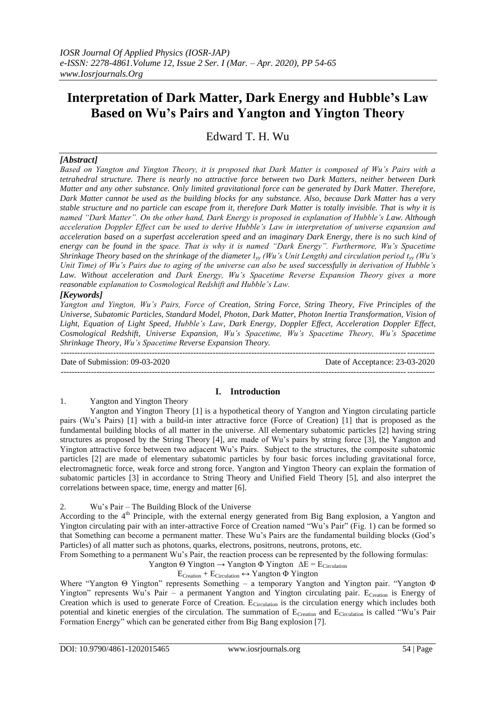# **Interpretation of Dark Matter, Dark Energy and Hubble's Law Based on Wu's Pairs and Yangton and Yington Theory**

Edward T. H. Wu

# *[Abstract]*

*Based on Yangton and Yington Theory, it is proposed that Dark Matter is composed of Wu's Pairs with a tetrahedral structure. There is nearly no attractive force between two Dark Matters, neither between Dark Matter and any other substance. Only limited gravitational force can be generated by Dark Matter. Therefore, Dark Matter cannot be used as the building blocks for any substance. Also, because Dark Matter has a very stable structure and no particle can escape from it, therefore Dark Matter is totally invisible. That is why it is named "Dark Matter". On the other hand, Dark Energy is proposed in explanation of Hubble's Law. Although acceleration Doppler Effect can be used to derive Hubble's Law in interpretation of universe expansion and acceleration based on a superfast acceleration speed and an imaginary Dark Energy, there is no such kind of energy can be found in the space. That is why it is named "Dark Energy". Furthermore, Wu's Spacetime Shrinkage Theory based on the shrinkage of the diameter lyy (Wu's Unit Length) and circulation period tyy (Wu's Unit Time) of Wu's Pairs due to aging of the universe can also be used successfully in derivation of Hubble's*  Law. Without acceleration and Dark Energy, Wu's Spacetime Reverse Expansion Theory gives a more *reasonable explanation to Cosmological Redshift and Hubble's Law.* 

# *[Keywords]*

*Yangton and Yington, Wu's Pairs, Force of Creation, String Force, String Theory, Five Principles of the Universe, Subatomic Particles, Standard Model, Photon, Dark Matter, Photon Inertia Transformation, Vision of Light, Equation of Light Speed, Hubble's Law, Dark Energy, Doppler Effect, Acceleration Doppler Effect, Cosmological Redshift, Universe Expansion, Wu's Spacetime, Wu's Spacetime Theory, Wu's Spacetime Shrinkage Theory, Wu's Spacetime Reverse Expansion Theory.* ---------------------------------------------------------------------------------------------------------------------------------------

Date of Submission: 09-03-2020 Date of Acceptance: 23-03-2020 ---------------------------------------------------------------------------------------------------------------------------------------

## **I. Introduction**

1. Yangton and Yington Theory

Yangton and Yington Theory [1] is a hypothetical theory of Yangton and Yington circulating particle pairs (Wu's Pairs) [1] with a build-in inter attractive force (Force of Creation) [1] that is proposed as the fundamental building blocks of all matter in the universe. All elementary subatomic particles [2] having string structures as proposed by the String Theory [4], are made of Wu's pairs by string force [3], the Yangton and Yington attractive force between two adjacent Wu's Pairs. Subject to the structures, the composite subatomic particles [2] are made of elementary subatomic particles by four basic forces including gravitational force, electromagnetic force, weak force and strong force. Yangton and Yington Theory can explain the formation of subatomic particles [3] in accordance to String Theory and Unified Field Theory [5], and also interpret the correlations between space, time, energy and matter [6].

# 2. Wu's Pair – The Building Block of the Universe

According to the 4<sup>th</sup> Principle, with the external energy generated from Big Bang explosion, a Yangton and Yington circulating pair with an inter-attractive Force of Creation named "Wu's Pair" (Fig. 1) can be formed so that Something can become a permanent matter. These Wu's Pairs are the fundamental building blocks (God's Particles) of all matter such as photons, quarks, electrons, positrons, neutrons, protons, etc.

From Something to a permanent Wu's Pair, the reaction process can be represented by the following formulas:

Yangton  $\Theta$  Yington  $\rightarrow$  Yangton  $\Phi$  Yington  $\Delta E = E_{Circulation}$ 

ECreation + ECirculation **↔** Yangton Φ Yington

Where "Yangton Θ Yington" represents Something – a temporary Yangton and Yington pair. "Yangton Φ Yington" represents Wu's Pair – a permanent Yangton and Yington circulating pair. E<sub>Creation</sub> is Energy of Creation which is used to generate Force of Creation. E<sub>Circulation</sub> is the circulation energy which includes both potential and kinetic energies of the circulation. The summation of E<sub>Creation</sub> and E<sub>Circulation</sub> is called "Wu's Pair Formation Energy" which can be generated either from Big Bang explosion [7].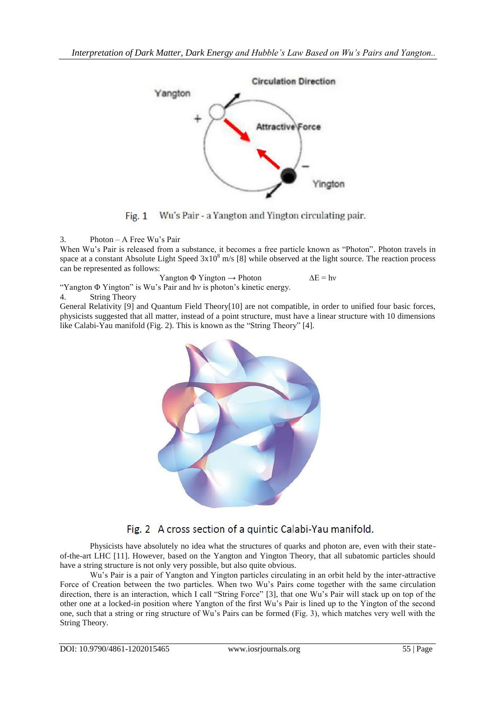

Fig.  $1$ Wu's Pair - a Yangton and Yington circulating pair.

3. Photon – A Free Wu's Pair

When Wu's Pair is released from a substance, it becomes a free particle known as "Photon". Photon travels in space at a constant Absolute Light Speed  $3x10^8$  m/s [8] while observed at the light source. The reaction process can be represented as follows:

Yangton  $\Phi$  Yington  $\rightarrow$  Photon  $\Delta E = h\nu$ 

"Yangton Φ Yington" is Wu's Pair and hν is photon's kinetic energy.

4. String Theory

General Relativity [9] and Quantum Field Theory[10] are not compatible, in order to unified four basic forces, physicists suggested that all matter, instead of a point structure, must have a linear structure with 10 dimensions like Calabi-Yau manifold (Fig. 2). This is known as the "String Theory" [4].



# Fig. 2 A cross section of a quintic Calabi-Yau manifold.

Physicists have absolutely no idea what the structures of quarks and photon are, even with their stateof-the-art LHC [11]. However, based on the Yangton and Yington Theory, that all subatomic particles should have a string structure is not only very possible, but also quite obvious.

Wu's Pair is a pair of Yangton and Yington particles circulating in an orbit held by the inter-attractive Force of Creation between the two particles. When two Wu's Pairs come together with the same circulation direction, there is an interaction, which I call "String Force" [3], that one Wu's Pair will stack up on top of the other one at a locked-in position where Yangton of the first Wu's Pair is lined up to the Yington of the second one, such that a string or ring structure of Wu's Pairs can be formed (Fig. 3), which matches very well with the String Theory.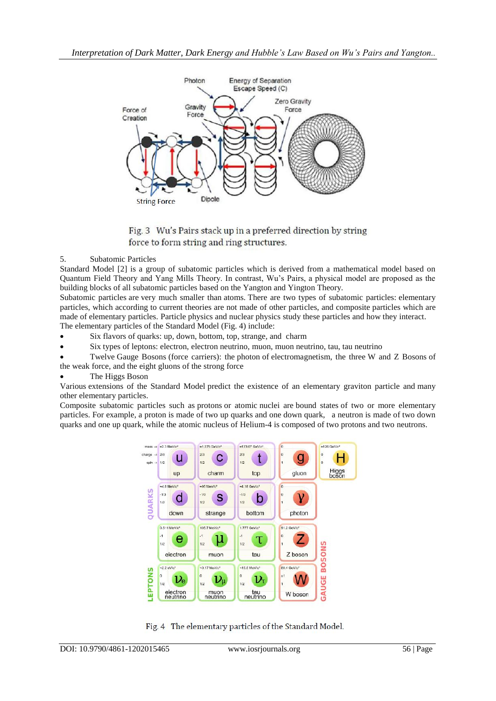



## 5. Subatomic Particles

Standard Model [2] is a group of subatomic particles which is derived from a mathematical model based on Quantum Field Theory and Yang Mills Theory. In contrast, Wu's Pairs, a physical model are proposed as the building blocks of all subatomic particles based on the Yangton and Yington Theory.

Subatomic particles are very much smaller than [atoms.](https://en.wikipedia.org/wiki/Atom) There are two types of subatomic particles: [elementary](https://en.wikipedia.org/wiki/Elementary_particle)  [particles,](https://en.wikipedia.org/wiki/Elementary_particle) which according to current theories are not made of other particles, and composite particles which are made of elementary particles. [Particle physics](https://en.wikipedia.org/wiki/Particle_physics) and [nuclear physics](https://en.wikipedia.org/wiki/Nuclear_physics) study these particles and how they [interact.](https://en.wikipedia.org/wiki/Interaction)

The elementary particles of the [Standard Model](https://en.wikipedia.org/wiki/Standard_Model) (Fig. 4) include:

- Six [flavors](https://en.wikipedia.org/wiki/Flavour_(particle_physics)) of [quarks:](https://en.wikipedia.org/wiki/Quark) [up,](https://en.wikipedia.org/wiki/Up_quark) [down,](https://en.wikipedia.org/wiki/Down_quark) [bottom,](https://en.wikipedia.org/wiki/Bottom_quark) [top,](https://en.wikipedia.org/wiki/Top_quark) [strange,](https://en.wikipedia.org/wiki/Strange_quark) and [charm](https://en.wikipedia.org/wiki/Charm_quark)
- Six types of [leptons:](https://en.wikipedia.org/wiki/Lepton) [electron,](https://en.wikipedia.org/wiki/Electron) [electron neutrino,](https://en.wikipedia.org/wiki/Electron_neutrino) [muon,](https://en.wikipedia.org/wiki/Muon) [muon neutrino,](https://en.wikipedia.org/wiki/Muon_neutrino) [tau,](https://en.wikipedia.org/wiki/Tau_(particle)) [tau neutrino](https://en.wikipedia.org/wiki/Tau_neutrino)
- Twelve [Gauge Bosons](https://en.wikipedia.org/wiki/Gauge_boson) (force carriers): the [photon](https://en.wikipedia.org/wiki/Photon) of [electromagnetism,](https://en.wikipedia.org/wiki/Electromagnetism) the three [W and Z Bosons](https://en.wikipedia.org/wiki/W_and_Z_bosons) of the [weak force,](https://en.wikipedia.org/wiki/Weak_interaction) and the eight [gluons](https://en.wikipedia.org/wiki/Gluon) of the [strong force](https://en.wikipedia.org/wiki/Strong_force)

## The [Higgs Boson](https://en.wikipedia.org/wiki/Higgs_boson)

Various [extensions of the Standard Model](https://en.wikipedia.org/wiki/Physics_beyond_the_Standard_Model) predict the existence of an elementary graviton particle and [many](https://en.wikipedia.org/wiki/List_of_elementary_particles#Hypothetical_particles)  [other elementary particles.](https://en.wikipedia.org/wiki/List_of_elementary_particles#Hypothetical_particles)

Composite subatomic particles such as [protons](https://en.wikipedia.org/wiki/Proton) or atomic [nuclei](https://en.wikipedia.org/wiki/Atomic_nucleus) are [bound states](https://en.wikipedia.org/wiki/Bound_state) of two or more [elementary](https://en.wikipedia.org/wiki/Elementary_particle)  [particles.](https://en.wikipedia.org/wiki/Elementary_particle) For example, a proton is made of two [up quarks](https://en.wikipedia.org/wiki/Up_quark) and one [down quark,](https://en.wikipedia.org/wiki/Down_quark) a neutron is made of two down quarks and one up quark, while the atomic nucleus of [Helium-4](https://en.wikipedia.org/wiki/Helium-4) is composed of two protons and two [neutrons.](https://en.wikipedia.org/wiki/Neutron)



Fig. 4 The elementary particles of the Standard Model.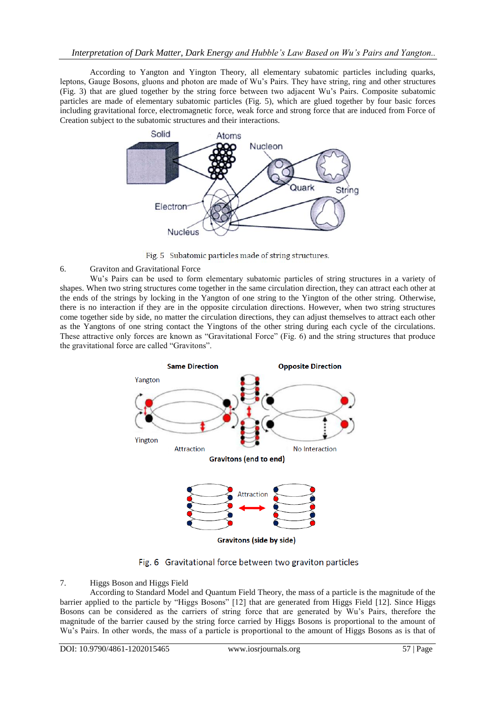According to Yangton and Yington Theory, all elementary subatomic particles including quarks, leptons, Gauge Bosons, gluons and photon are made of Wu's Pairs. They have string, ring and other structures (Fig. 3) that are glued together by the string force between two adjacent Wu's Pairs. Composite subatomic particles are made of elementary subatomic particles (Fig. 5), which are glued together by four basic forces including gravitational force, electromagnetic force, weak force and strong force that are induced from Force of Creation subject to the subatomic structures and their interactions.



Fig. 5 Subatomic particles made of string structures.

## 6. Graviton and Gravitational Force

Wu's Pairs can be used to form elementary subatomic particles of string structures in a variety of shapes. When two string structures come together in the same circulation direction, they can attract each other at the ends of the strings by locking in the Yangton of one string to the Yington of the other string. Otherwise, there is no interaction if they are in the opposite circulation directions. However, when two string structures come together side by side, no matter the circulation directions, they can adjust themselves to attract each other as the Yangtons of one string contact the Yingtons of the other string during each cycle of the circulations. These attractive only forces are known as "Gravitational Force" (Fig. 6) and the string structures that produce the gravitational force are called "Gravitons".



Fig. 6 Gravitational force between two graviton particles

## 7. Higgs Boson and Higgs Field

According to Standard Model and Quantum Field Theory, the mass of a particle is the magnitude of the barrier applied to the particle by "Higgs Bosons" [12] that are generated from Higgs Field [12]. Since Higgs Bosons can be considered as the carriers of string force that are generated by Wu's Pairs, therefore the magnitude of the barrier caused by the string force carried by Higgs Bosons is proportional to the amount of Wu's Pairs. In other words, the mass of a particle is proportional to the amount of Higgs Bosons as is that of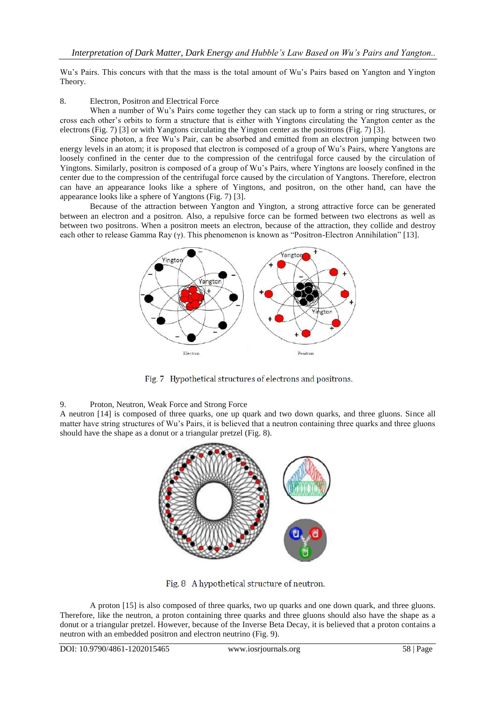Wu's Pairs. This concurs with that the mass is the total amount of Wu's Pairs based on Yangton and Yington Theory.

# 8. Electron, Positron and Electrical Force

When a number of Wu's Pairs come together they can stack up to form a string or ring structures, or cross each other's orbits to form a structure that is either with Yingtons circulating the Yangton center as the electrons (Fig. 7) [3] or with Yangtons circulating the Yington center as the positrons (Fig. 7) [3].

Since photon, a free Wu's Pair, can be absorbed and emitted from an electron jumping between two energy levels in an atom; it is proposed that electron is composed of a group of Wu's Pairs, where Yangtons are loosely confined in the center due to the compression of the centrifugal force caused by the circulation of Yingtons. Similarly, positron is composed of a group of Wu's Pairs, where Yingtons are loosely confined in the center due to the compression of the centrifugal force caused by the circulation of Yangtons. Therefore, electron can have an appearance looks like a sphere of Yingtons, and positron, on the other hand, can have the appearance looks like a sphere of Yangtons (Fig. 7) [3].

Because of the attraction between Yangton and Yington, a strong attractive force can be generated between an electron and a positron. Also, a repulsive force can be formed between two electrons as well as between two positrons. When a positron meets an electron, because of the attraction, they collide and destroy each other to release Gamma Ray (γ). This phenomenon is known as "Positron-Electron Annihilation" [13].



Fig. 7 Hypothetical structures of electrons and positrons.

## 9. Proton, Neutron, Weak Force and Strong Force

A neutron [14] is composed of three quarks, one up quark and two down quarks, and three gluons. Since all matter have string structures of Wu's Pairs, it is believed that a neutron containing three quarks and three gluons should have the shape as a donut or a triangular pretzel (Fig. 8).



Fig. 8 A hypothetical structure of neutron.

A proton [15] is also composed of three quarks, two up quarks and one down quark, and three gluons. Therefore, like the neutron, a proton containing three quarks and three gluons should also have the shape as a donut or a triangular pretzel. However, because of the Inverse Beta Decay, it is believed that a proton contains a neutron with an embedded positron and electron neutrino (Fig. 9).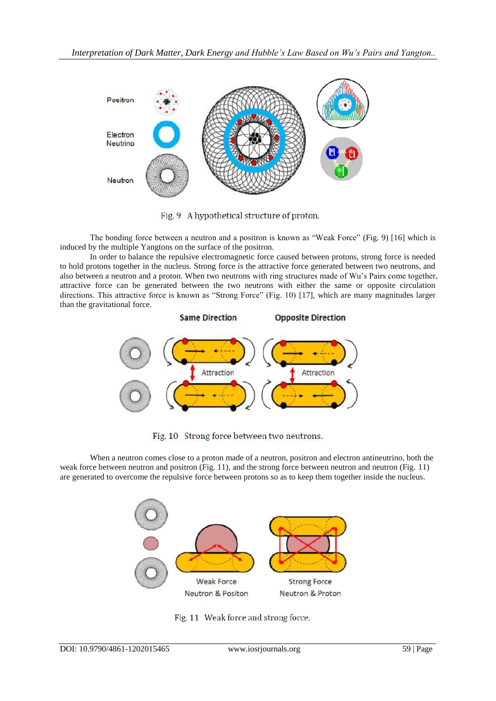

Fig. 9 A hypothetical structure of proton.

The bonding force between a neutron and a positron is known as "Weak Force" (Fig. 9) [16] which is induced by the multiple Yangtons on the surface of the positron.

In order to balance the repulsive electromagnetic force caused between protons, strong force is needed to hold protons together in the nucleus. Strong force is the attractive force generated between two neutrons, and also between a neutron and a proton. When two neutrons with ring structures made of Wu's Pairs come together, attractive force can be generated between the two neutrons with either the same or opposite circulation directions. This attractive force is known as "Strong Force" (Fig. 10) [17], which are many magnitudes larger than the gravitational force.



Fig. 10 Strong force between two neutrons.

When a neutron comes close to a proton made of a neutron, positron and electron antineutrino, both the weak force between neutron and positron (Fig. 11), and the strong force between neutron and neutron (Fig. 11) are generated to overcome the repulsive force between protons so as to keep them together inside the nucleus.



Fig. 11 Weak force and strong force.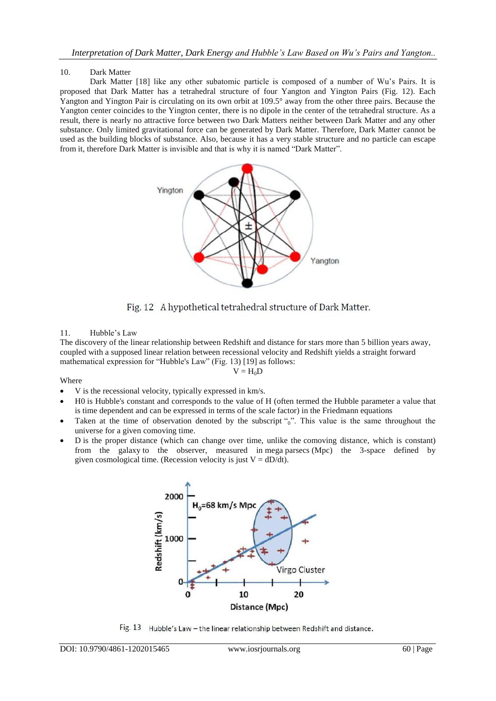#### 10. Dark Matter

Dark Matter [18] like any other subatomic particle is composed of a number of Wu's Pairs. It is proposed that Dark Matter has a tetrahedral structure of four Yangton and Yington Pairs (Fig. 12). Each Yangton and Yington Pair is circulating on its own orbit at 109.5° away from the other three pairs. Because the Yangton center coincides to the Yington center, there is no dipole in the center of the tetrahedral structure. As a result, there is nearly no attractive force between two Dark Matters neither between Dark Matter and any other substance. Only limited gravitational force can be generated by Dark Matter. Therefore, Dark Matter cannot be used as the building blocks of substance. Also, because it has a very stable structure and no particle can escape from it, therefore Dark Matter is invisible and that is why it is named "Dark Matter".





#### 11. Hubble's Law

The discovery of the linear relationship between [Redshift](https://en.wikipedia.org/wiki/Redshift) and distance for stars more than 5 billion years away, coupled with a supposed linear relation between [recessional velocity](https://en.wikipedia.org/wiki/Recessional_velocity) and Redshift yields a straight forward mathematical expression for "Hubble's Law" (Fig. 13) [19] as follows:  $V = H_0D$ 

Where

- V is the recessional velocity, typically expressed in km/s.
- H0 is Hubble's constant and corresponds to the value of H (often termed the Hubble parameter a value that is [time dependent](https://en.wikipedia.org/wiki/Time-variant_system) and can be expressed in terms of the [scale factor\)](https://en.wikipedia.org/wiki/Scale_factor_(cosmology)) in the Friedmann equations
- Taken at the time of observation denoted by the subscript "0". This value is the same throughout the universe for a given [comoving time.](https://en.wikipedia.org/wiki/Comoving_time#Comoving_coordinates)
- D is the proper distance (which can change over time, unlike the [comoving distance,](https://en.wikipedia.org/wiki/Comoving_distance) which is constant) from the [galaxy](https://en.wikipedia.org/wiki/Galaxy) to the observer, measured in [mega](https://en.wikipedia.org/wiki/Mega-) [parsecs](https://en.wikipedia.org/wiki/Parsec) (Mpc) the 3-space defined by given [cosmological time.](https://en.wikipedia.org/wiki/Cosmological_time) (Recession velocity is just  $V = dD/dt$ ).



Fig. 13 Hubble's Law - the linear relationship between Redshift and distance.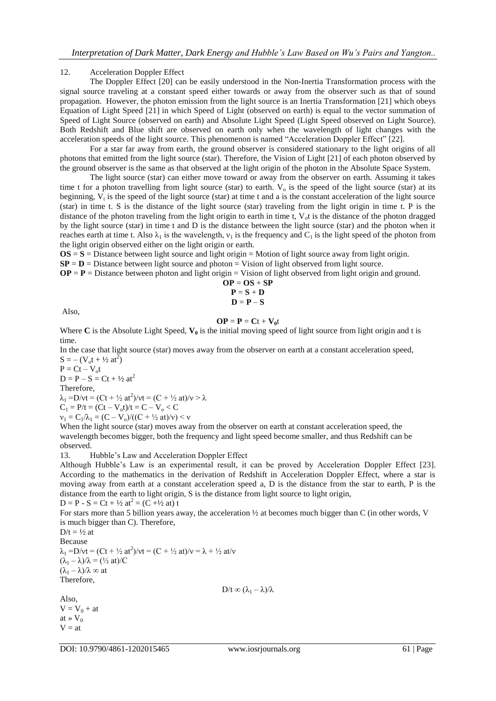#### 12. Acceleration Doppler Effect

The Doppler Effect [20] can be easily understood in the Non-Inertia Transformation process with the signal source traveling at a constant speed either towards or away from the observer such as that of sound propagation. However, the photon emission from the light source is an Inertia Transformation [21] which obeys Equation of Light Speed [21] in which Speed of Light (observed on earth) is equal to the vector summation of Speed of Light Source (observed on earth) and Absolute Light Speed (Light Speed observed on Light Source). Both Redshift and Blue shift are observed on earth only when the wavelength of light changes with the acceleration speeds of the light source. This phenomenon is named "Acceleration Doppler Effect" [22].

For a star far away from earth, the ground observer is considered stationary to the light origins of all photons that emitted from the light source (star). Therefore, the Vision of Light [21] of each photon observed by the ground observer is the same as that observed at the light origin of the photon in the Absolute Space System.

The light source (star) can either move toward or away from the observer on earth. Assuming it takes time t for a photon travelling from light source (star) to earth.  $V_0$  is the speed of the light source (star) at its beginning,  $V_t$  is the speed of the light source (star) at time t and a is the constant acceleration of the light source (star) in time t. S is the distance of the light source (star) traveling from the light origin in time t. P is the distance of the photon traveling from the light origin to earth in time t,  $V<sub>o</sub>t$  is the distance of the photon dragged by the light source (star) in time t and D is the distance between the light source (star) and the photon when it reaches earth at time t. Also  $\lambda_1$  is the wavelength,  $v_1$  is the frequency and  $C_1$  is the light speed of the photon from the light origin observed either on the light origin or earth.

 $OS = S = D$  is taken between light source and light origin = Motion of light source away from light origin.

 $SP = D$  = Distance between light source and photon = Vision of light observed from light source.

 $OP = P = Distance$  between photon and light origin = Vision of light observed from light origin and ground.

$$
\begin{array}{c}\n\mathbf{OP} = \mathbf{OS} + \mathbf{SP} \\
\mathbf{P} = \mathbf{S} + \mathbf{D} \\
\mathbf{D} = \mathbf{P} - \mathbf{S}\n\end{array}
$$

Also,

#### $OP = P = Ct + V_0t$

Where  $C$  is the Absolute Light Speed,  $V_0$  is the initial moving speed of light source from light origin and t is time.

In the case that light source (star) moves away from the observer on earth at a constant acceleration speed,  $S = - (V_0 t + \frac{1}{2} at^2)$ 

 $P = Ct - V_0t$  $D = P - S = Ct + \frac{1}{2}at^2$ Therefore,  $\lambda_1 = D/vt = (Ct + \frac{1}{2}at^2)/vt = (C + \frac{1}{2}at)/v > \lambda$  $C_1 = P/t = (Ct - V_0t)/t = C - V_0 < C$ 

 $v_1 = C_1/\lambda_1 = (C - V_0)/((C + \frac{1}{2}at)/v) < v$ 

When the light source (star) moves away from the observer on earth at constant acceleration speed, the wavelength becomes bigger, both the frequency and light speed become smaller, and thus Redshift can be observed.

13. Hubble's Law and Acceleration Doppler Effect

Although Hubble's Law is an experimental result, it can be proved by Acceleration Doppler Effect [23]. According to the mathematics in the derivation of Redshift in Acceleration Doppler Effect, where a star is moving away from earth at a constant acceleration speed a, D is the distance from the star to earth, P is the distance from the earth to light origin, S is the distance from light source to light origin,  $D = P - S = Ct + \frac{1}{2}at^2 = (C + \frac{1}{2}at)t$ 

For stars more than 5 billion years away, the acceleration ½ at becomes much bigger than C (in other words, V is much bigger than C). Therefore,

 $D/t = \frac{1}{2}$  at Because  $\lambda_1 = D/vt = (Ct + \frac{1}{2}at^2)/vt = (C + \frac{1}{2}at)/v = \lambda + \frac{1}{2}at/v$  $(\lambda_1 - \lambda)/\lambda = (\frac{1}{2} \text{ at})/C$  $(\lambda_1 - \lambda)/\lambda \infty$  at Therefore,  $D/t \infty (\lambda_1 - \lambda)/\lambda$ 

Also,  $V = V_0 + at$ at  $\rightarrow$  V<sub>0</sub>  $V = at$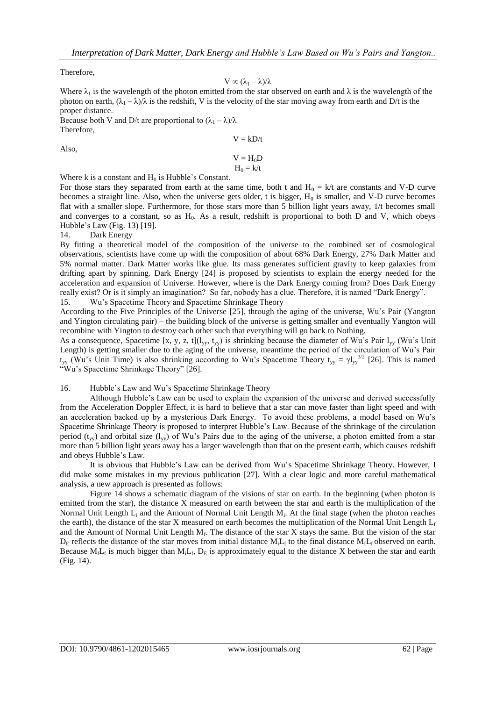Therefore,

$$
V\varpropto (\lambda_1-\lambda)/\lambda
$$

Where  $\lambda_1$  is the wavelength of the photon emitted from the star observed on earth and  $\lambda$  is the wavelength of the photon on earth,  $(\lambda_1 - \lambda)/\lambda$  is the redshift, V is the velocity of the star moving away from earth and D/t is the proper distance.

Because both V and D/t are proportional to  $(\lambda_1 - \lambda)/\lambda$ Therefore,

Also,

$$
V = H_0 D
$$
  
H<sub>0</sub> = k/t

 $V = kD/t$ 

Where k is a constant and  $H_0$  is Hubble's Constant.

For those stars they separated from earth at the same time, both t and  $H_0 = k/t$  are constants and V-D curve becomes a straight line. Also, when the universe gets older, t is bigger,  $H_0$  is smaller, and V-D curve becomes flat with a smaller slope. Furthermore, for those stars more than 5 billion light years away, 1/t becomes small and converges to a constant, so as  $H_0$ . As a result, redshift is proportional to both D and V, which obeys Hubble's Law (Fig. 13) [19].

14. Dark Energy

By fitting a theoretical model of the composition of the universe to the combined set of cosmological observations, scientists have come up with the composition of about 68% Dark Energy, 27% Dark Matter and 5% normal matter. Dark Matter works like glue. Its mass generates sufficient gravity to keep galaxies from drifting apart by spinning. Dark Energy [24] is proposed by scientists to explain the energy needed for the acceleration and expansion of Universe. However, where is the Dark Energy coming from? Does Dark Energy really exist? Or is it simply an imagination? So far, nobody has a clue. Therefore, it is named "Dark Energy".

15. Wu's Spacetime Theory and Spacetime Shrinkage Theory

According to the Five Principles of the Universe [25], through the aging of the universe, Wu's Pair (Yangton and Yington circulating pair) – the building block of the universe is getting smaller and eventually Yangton will recombine with Yington to destroy each other such that everything will go back to Nothing.

As a consequence, Spacetime [x, y, z, t]( $l_{yy}$ ,  $t_{yy}$ ) is shrinking because the diameter of Wu's Pair  $l_{yy}$  (Wu's Unit Length) is getting smaller due to the aging of the universe, meantime the period of the circulation of Wu's Pair  $t_{yy}$  (Wu's Unit Time) is also shrinking according to Wu's Spacetime Theory  $t_{yy} = \gamma l_{yy}^{3/2}$  [26]. This is named "Wu's Spacetime Shrinkage Theory" [26].

#### 16. Hubble's Law and Wu's Spacetime Shrinkage Theory

Although Hubble's Law can be used to explain the expansion of the universe and derived successfully from the Acceleration Doppler Effect, it is hard to believe that a star can move faster than light speed and with an acceleration backed up by a mysterious Dark Energy. To avoid these problems, a model based on Wu's Spacetime Shrinkage Theory is proposed to interpret Hubble's Law. Because of the shrinkage of the circulation period ( $t_{vv}$ ) and orbital size ( $l_{vv}$ ) of Wu's Pairs due to the aging of the universe, a photon emitted from a star more than 5 billion light years away has a larger wavelength than that on the present earth, which causes redshift and obeys Hubble's Law.

It is obvious that Hubble's Law can be derived from Wu's Spacetime Shrinkage Theory. However, I did make some mistakes in my previous publication [27]. With a clear logic and more careful mathematical analysis, a new approach is presented as follows:

Figure 14 shows a schematic diagram of the visions of star on earth. In the beginning (when photon is emitted from the star), the distance X measured on earth between the star and earth is the multiplication of the Normal Unit Length  $L_i$  and the Amount of Normal Unit Length  $M_i$ . At the final stage (when the photon reaches the earth), the distance of the star X measured on earth becomes the multiplication of the Normal Unit Length  $L_f$ and the Amount of Normal Unit Length  $M_f$ . The distance of the star X stays the same. But the vision of the star  $D_E$  reflects the distance of the star moves from initial distance  $M_iL_f$  to the final distance  $M_fL_f$  observed on earth. Because  $M_fL_f$  is much bigger than  $M_iL_f$ ,  $D_E$  is approximately equal to the distance X between the star and earth (Fig. 14).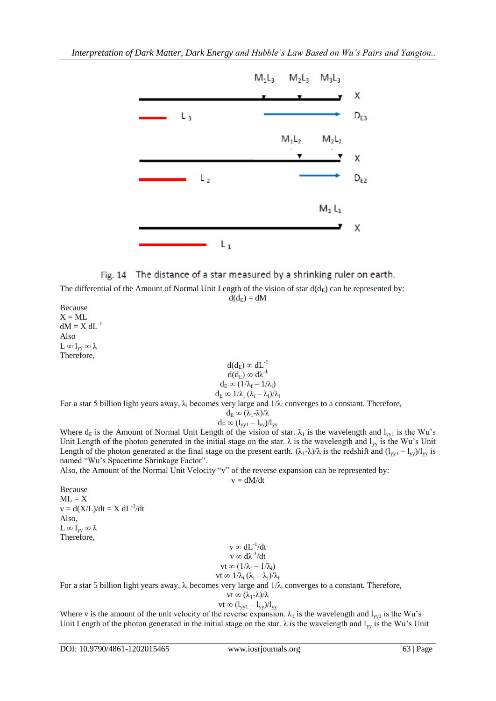



The differential of the Amount of Normal Unit Length of the vision of star  $d(d_E)$  can be represented by:  $d(d_E) = dM$ 

Because  $X = ML$  $dM = X dL^{-1}$ Also L  $\infty$  l<sub>yy</sub>  $\infty$  λ Therefore,

$$
\begin{array}{c} d(d_E) \varpropto dL^{-1} \\ d(d_E) \varpropto d\lambda^{-1} \\ d_E \varpropto (1/\lambda_f - 1/\lambda_i) \\ d_E \varpropto 1/\lambda_i \ (\lambda_i - \lambda_f)/\lambda_f \end{array}
$$

For a star 5 billion light years away,  $\lambda_i$  becomes very large and  $1/\lambda_i$  converges to a constant. Therefore,

$$
\begin{array}{c} d_E \varpropto (\lambda_1\text{-}\lambda)/\lambda \\ d_E \varpropto (l_{yy1}-l_{yy})/l_{yy} \end{array}
$$

Where  $d_E$  is the Amount of Normal Unit Length of the vision of star.  $\lambda_1$  is the wavelength and  $l_{yyl}$  is the Wu's Unit Length of the photon generated in the initial stage on the star.  $\lambda$  is the wavelength and  $l_{yy}$  is the Wu's Unit Length of the photon generated at the final stage on the present earth.  $(\lambda_1 - \lambda)/\lambda$  is the redshift and  $(l_{yy1} - l_{yy})/l_{yy}$  is named "Wu's Spacetime Shrinkage Factor".

Also, the Amount of the Normal Unit Velocity "v" of the reverse expansion can be represented by:

$$
v\equiv dM/dt
$$

Because  $ML = X$  $v = d(X/L)/dt = X dL^{-1}/dt$ Also, L  $\infty$  l<sub>yy</sub>  $\infty$  λ Therefore,

 $v \propto dL^{-1}/dt$  $v \propto d\lambda^{-1}/dt$  $vt \in (1/\lambda_f - 1/\lambda_i)$ vt  $\infty$  1/ $\lambda_i$  ( $\lambda_i - \lambda_f$ )/ $\lambda_f$ 

For a star 5 billion light years away,  $\lambda_i$  becomes very large and  $1/\lambda_i$  converges to a constant. Therefore,

$$
vt \propto (\lambda_1 - \lambda)/\lambda
$$

vt  $\infty (l_{yy1} - l_{yy})/l_{yy}$ 

Where v is the amount of the unit velocity of the reverse expansion.  $\lambda_1$  is the wavelength and  $l_{yy1}$  is the Wu's Unit Length of the photon generated in the initial stage on the star.  $\lambda$  is the wavelength and  $l_{yy}$  is the Wu's Unit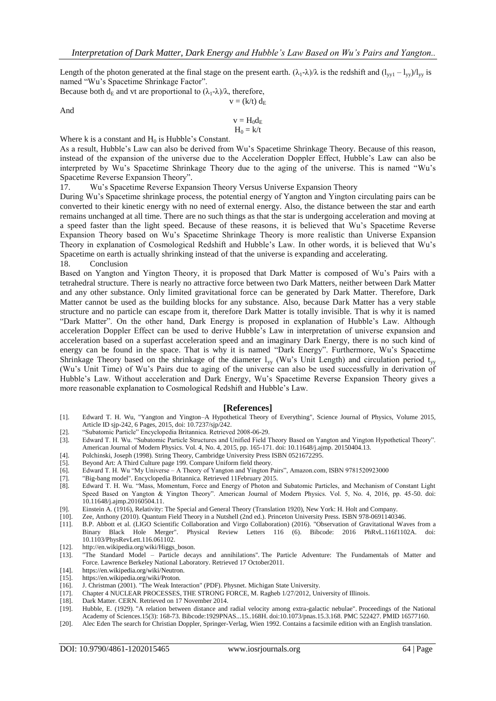Length of the photon generated at the final stage on the present earth.  $(\lambda_1 - \lambda)/\lambda$  is the redshift and  $(l_{vv1} - l_{vv})/l_{vv}$  is named "Wu's Spacetime Shrinkage Factor".

Because both  $d_E$  and vt are proportional to  $(\lambda_1 - \lambda)/\lambda$ , therefore,  $v = (k/t) d_E$ 

And

$$
\begin{array}{c} v = H_0 d_E \\ H_0 = k/t \end{array}
$$

Where k is a constant and  $H_0$  is Hubble's Constant.

As a result, Hubble's Law can also be derived from Wu's Spacetime Shrinkage Theory. Because of this reason, instead of the expansion of the universe due to the Acceleration Doppler Effect, Hubble's Law can also be interpreted by Wu's Spacetime Shrinkage Theory due to the aging of the universe. This is named "Wu's Spacetime Reverse Expansion Theory".

17. Wu's Spacetime Reverse Expansion Theory Versus Universe Expansion Theory

During Wu's Spacetime shrinkage process, the potential energy of Yangton and Yington circulating pairs can be converted to their kinetic energy with no need of external energy. Also, the distance between the star and earth remains unchanged at all time. There are no such things as that the star is undergoing acceleration and moving at a speed faster than the light speed. Because of these reasons, it is believed that Wu's Spacetime Reverse Expansion Theory based on Wu's Spacetime Shrinkage Theory is more realistic than Universe Expansion Theory in explanation of Cosmological Redshift and Hubble's Law. In other words, it is believed that Wu's Spacetime on earth is actually shrinking instead of that the universe is expanding and accelerating. 18. Conclusion

Based on Yangton and Yington Theory, it is proposed that Dark Matter is composed of Wu's Pairs with a tetrahedral structure. There is nearly no attractive force between two Dark Matters, neither between Dark Matter and any other substance. Only limited gravitational force can be generated by Dark Matter. Therefore, Dark Matter cannot be used as the building blocks for any substance. Also, because Dark Matter has a very stable structure and no particle can escape from it, therefore Dark Matter is totally invisible. That is why it is named "Dark Matter". On the other hand, Dark Energy is proposed in explanation of Hubble's Law. Although acceleration Doppler Effect can be used to derive Hubble's Law in interpretation of universe expansion and acceleration based on a superfast acceleration speed and an imaginary Dark Energy, there is no such kind of energy can be found in the space. That is why it is named "Dark Energy". Furthermore, Wu's Spacetime Shrinkage Theory based on the shrinkage of the diameter  $l_{yy}$  (Wu's Unit Length) and circulation period  $t_{yy}$ (Wu's Unit Time) of Wu's Pairs due to aging of the universe can also be used successfully in derivation of Hubble's Law. Without acceleration and Dark Energy, Wu's Spacetime Reverse Expansion Theory gives a more reasonable explanation to Cosmological Redshift and Hubble's Law.

#### **[References]**

- [1]. Edward T. H. Wu, "Yangton and Yington–A Hypothetical Theory of Everything", Science Journal of Physics, Volume 2015, Article ID sjp-242, 6 Pages, 2015, doi: 10.7237/sjp/242.
- [2]. "Subatomic Particle" Encyclopedia Britannica. Retrieved 2008-06-29.
- [3]. Edward T. H. Wu. "Subatomic Particle Structures and Unified Field Theory Based on Yangton and Yington Hypothetical Theory". American Journal of Modern Physics. Vol. 4, No. 4, 2015, pp. 165-171. doi: 10.11648/j.ajmp. 20150404.13.
- [4]. Polchinski, Joseph (1998). String Theory, Cambridge University Press ISBN 0521672295.<br>[5]. Beyond Art: A Third Culture page 199. Compare Uniform field theory.
- [Beyond Art: A Third Culture](https://books.google.com/books?id=xkk6U42Zl_sC&pg=PA199&lpg=PA199&dq=%22uniform+field+theory%22#v=onepage&q=%22uniform%20field%20theory%22&f=false) page 199. Compare [Uniform field theory.](https://en.wikipedia.org/wiki/Uniform_field_theory)
- [6]. Edward T. H. Wu "My Universe A Theory of Yangton and Yington Pairs", Amazon.com, ISBN 9781520923000
- 
- [7]. "Big-bang model". Encyclopedia Britannica. Retrieved 11February 2015. Edward T. H. Wu. "Mass, Momentum, Force and Energy of Photon and Subatomic Particles, and Mechanism of Constant Light Speed Based on Yangton & Yington Theory". American Journal of Modern Physics. Vol. 5, No. 4, 2016, pp. 45-50. doi: 10.11648/j.ajmp.20160504.11.
- [9]. Einstein A. (1916), Relativity: The Special and General Theory (Translation 1920), New York: H. Holt and Company.
- [10]. Zee, Anthony (2010). Quantum Field Theory in a Nutshell (2nd ed.). [Princeton University Press.](https://en.wikipedia.org/wiki/Princeton_University_Press) [ISBN](https://en.wikipedia.org/wiki/International_Standard_Book_Number) [978-0691140346.](https://en.wikipedia.org/wiki/Special:BookSources/978-0691140346)
- [11]. B.P. Abbott et al. (LIGO Scientific Collaboration and Virgo Collaboration) (2016). "Observation of Gravitational Waves from a Binary Black Hole Merger". Physical Review Letters 116 (6). Bibcode: 2016 PhRvL.116f1102A. doi: 10.1103/PhysRevLett.116.061102.
- [12]. http://en.wikipedia.org/wiki/Higgs\_boson.
- [13]. "The Standard Model [Particle decays and annihilations"](http://particleadventure.org/eedd.html)*.* The Particle Adventure: The Fundamentals of Matter and Force. [Lawrence Berkeley National Laboratory.](https://en.wikipedia.org/wiki/Lawrence_Berkeley_National_Laboratory) Retrieved 17 October2011*.*
- [14]. [https://en.wikipedia.org/wiki/Neutron.](https://en.wikipedia.org/wiki/Neutron)
- [15]. https://en.wikipedia.org/wiki/Proton.
- [16]. J. Christman (2001). "The Weak Interaction" (PDF). Physnet. Michigan State University.
- [17]. Chapter 4 NUCLEAR PROCESSES, THE STRONG FORCE, M. Ragheb 1/27/2012, University of Illinois.<br>[18]. Dark Matter. CERN. Retrieved on 17 November 2014.
- Dark Matter. CERN. Retrieved on 17 November 2014.
- [19]. Hubble, E. (1929). ["A relation between distance and radial velocity among extra-galactic nebulae".](http://www.pnas.org/cgi/reprint/15/3/168) [Proceedings of the National](https://en.wikipedia.org/wiki/Proceedings_of_the_National_Academy_of_Sciences)
- [Academy of Sciences.1](https://en.wikipedia.org/wiki/Proceedings_of_the_National_Academy_of_Sciences)5(3): 168-73. [Bibcode](https://en.wikipedia.org/wiki/Bibcode)[:1929PNAS...15..168H.](http://adsabs.harvard.edu/abs/1929PNAS...15..168H) [doi](https://en.wikipedia.org/wiki/Digital_object_identifier)[:10.1073/pnas.15.3.168.](https://dx.doi.org/10.1073%2Fpnas.15.3.168) [PMC](https://en.wikipedia.org/wiki/PubMed_Central) [522427.](https://www.ncbi.nlm.nih.gov/pmc/articles/PMC522427) [PMID](https://en.wikipedia.org/wiki/PubMed_Identifier) [16577160.](https://www.ncbi.nlm.nih.gov/pubmed/16577160)
- [20]. Alec Eden The search for Christian Doppler, Springer-Verlag, Wien 1992. Contains a facsimile edition with an English translation.